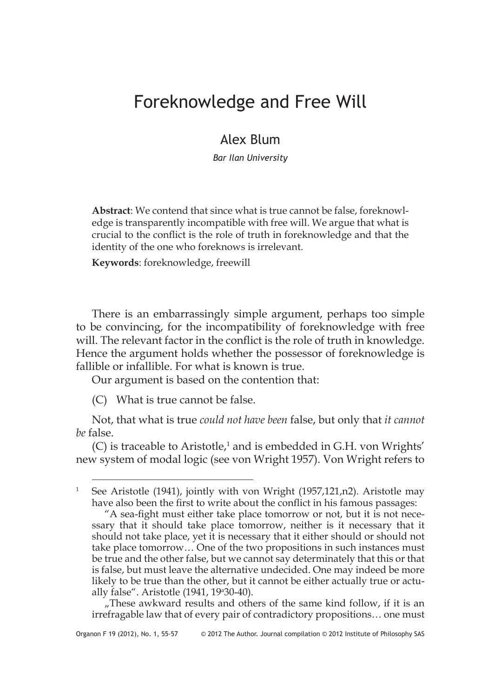## Foreknowledge and Free Will

## Alex Blum

*Bar Ilan University*

**Abstract**: We contend that since what is true cannot be false, foreknowledge is transparently incompatible with free will. We argue that what is crucial to the conflict is the role of truth in foreknowledge and that the identity of the one who foreknows is irrelevant.

**Keywords**: foreknowledge, freewill

There is an embarrassingly simple argument, perhaps too simple to be convincing, for the incompatibility of foreknowledge with free will. The relevant factor in the conflict is the role of truth in knowledge. Hence the argument holds whether the possessor of foreknowledge is fallible or infallible. For what is known is true.

Our argument is based on the contention that:

(C) What is true cannot be false.

Not, that what is true *could not have been* false, but only that *it cannot be* false.

(C) is traceable to Aristotle, $1$  and is embedded in G.H. von Wrights' new system of modal logic (see von Wright 1957). Von Wright refers to

"These awkward results and others of the same kind follow, if it is an irrefragable law that of every pair of contradictory propositions… one must

See Aristotle (1941), jointly with von Wright (1957,121,n2). Aristotle may have also been the first to write about the conflict in his famous passages:

<sup>&</sup>quot;A sea-fight must either take place tomorrow or not, but it is not necessary that it should take place tomorrow, neither is it necessary that it should not take place, yet it is necessary that it either should or should not take place tomorrow… One of the two propositions in such instances must be true and the other false, but we cannot say determinately that this or that is false, but must leave the alternative undecided. One may indeed be more likely to be true than the other, but it cannot be either actually true or actually false". Aristotle (1941, 19<sup>a</sup>30-40).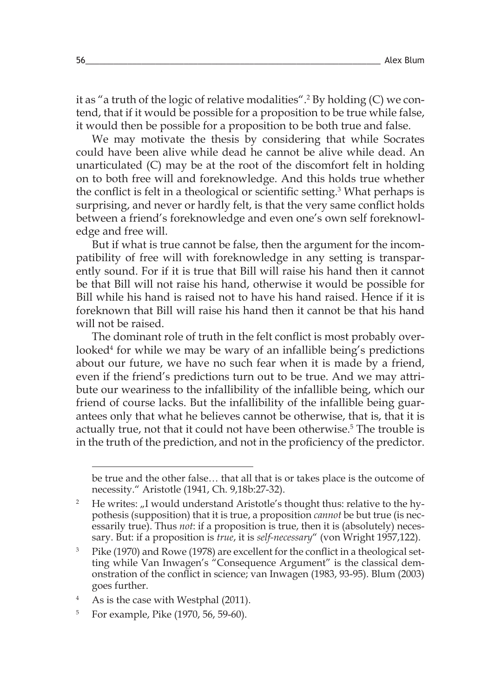it as "a truth of the logic of relative modalities".<sup>2</sup> By holding (C) we contend, that if it would be possible for a proposition to be true while false, it would then be possible for a proposition to be both true and false.

We may motivate the thesis by considering that while Socrates could have been alive while dead he cannot be alive while dead. An unarticulated (C) may be at the root of the discomfort felt in holding on to both free will and foreknowledge. And this holds true whether the conflict is felt in a theological or scientific setting.<sup>3</sup> What perhaps is surprising, and never or hardly felt, is that the very same conflict holds between a friend's foreknowledge and even one's own self foreknowledge and free will.

But if what is true cannot be false, then the argument for the incompatibility of free will with foreknowledge in any setting is transparently sound. For if it is true that Bill will raise his hand then it cannot be that Bill will not raise his hand, otherwise it would be possible for Bill while his hand is raised not to have his hand raised. Hence if it is foreknown that Bill will raise his hand then it cannot be that his hand will not be raised.

The dominant role of truth in the felt conflict is most probably overlooked<sup>4</sup> for while we may be wary of an infallible being's predictions about our future, we have no such fear when it is made by a friend, even if the friend's predictions turn out to be true. And we may attribute our weariness to the infallibility of the infallible being, which our friend of course lacks. But the infallibility of the infallible being guarantees only that what he believes cannot be otherwise, that is, that it is actually true, not that it could not have been otherwise.<sup>5</sup> The trouble is in the truth of the prediction, and not in the proficiency of the predictor.

be true and the other false… that all that is or takes place is the outcome of necessity." Aristotle (1941, Ch. 9,18b:27-32).

<sup>&</sup>lt;sup>2</sup> He writes: "I would understand Aristotle's thought thus: relative to the hypothesis (supposition) that it is true, a proposition *cannot* be but true (is necessarily true). Thus *not*: if a proposition is true, then it is (absolutely) necessary. But: if a proposition is *true*, it is *self-necessary*" (von Wright 1957,122).

<sup>&</sup>lt;sup>3</sup> Pike (1970) and Rowe (1978) are excellent for the conflict in a theological setting while Van Inwagen's "Consequence Argument" is the classical demonstration of the conflict in science; van Inwagen (1983, 93-95). Blum (2003) goes further.

<sup>&</sup>lt;sup>4</sup> As is the case with Westphal (2011).

<sup>5</sup> For example, Pike (1970, 56, 59-60).